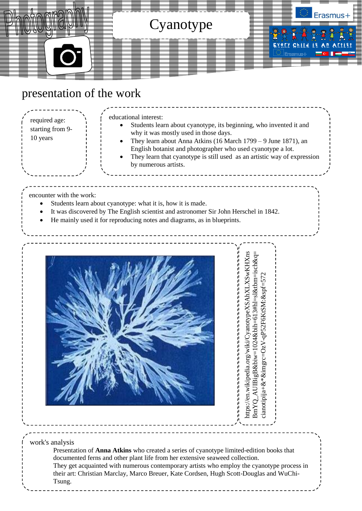

### required age: starting from 9- 10 years

educational interest:

- Students learn about cyanotype, its beginning, who invented it and why it was mostly used in those days.
- They learn about Anna Atkins (16 March 1799 9 June 1871), an English botanist and photographer who used cyanotype a lot.
- They learn that cyanotype is still used as an artistic way of expression by numerous artists.

https://en.wikipedia.org/wiki/CyanotypeXSAhXLXSwKHXns BmYQ\_AUIBigB&biw=1024&bih=613#hl=sl&tbm=isch&q=

nttps://en.wikipedia.org/wiki/CyanotypeXSAhXLXSwKHXns AUIBigB&biw=1024&bih=613#hl=sl&tbm=isch&q=

cianotipija+&\*&imgrc=OzV-qP52F6KtSM:&spf=572

cianotipija+&\*&imgrc=OzV-qP52F6KtSM:&spf=57

 $BmYQ$ 

encounter with the work:

- Students learn about cyanotype: what it is, how it is made.
- It was discovered by The English scientist and astronomer Sir John Herschel in 1842.
- He mainly used it for reproducing notes and diagrams, as in blueprints.



|  | work's analysis |
|--|-----------------|
|--|-----------------|

Presentation of **Anna Atkins** who created a series of cyanotype limited-edition books that documented ferns and other plant life from her extensive seaweed collection. They get acquainted with numerous contemporary artists who employ the cyanotype process in their art: Christian Marclay, Marco Breuer, Kate Cordsen, Hugh Scott-Douglas and WuChi-Tsung.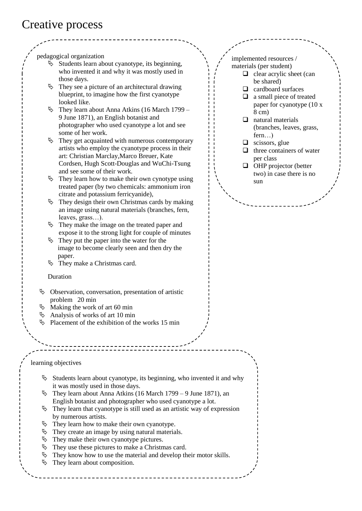## Creative process

pedagogical organization

- $\&$  Students learn about cyanotype, its beginning, who invented it and why it was mostly used in those days.
- $\&$  They see a picture of an architectural drawing blueprint, to imagine how the first cyanotype looked like.
- $\%$  They learn about Anna Atkins (16 March 1799 9 June 1871), an English botanist and photographer who used cyanotype a lot and see some of her work.
- $\Diamond$  They get acquainted with numerous contemporary artists who employ the cyanotype process in their art: Christian Marclay,Marco Breuer, Kate Cordsen, Hugh Scott-Douglas and WuChi-Tsung and see some of their work.
- $\&$  They learn how to make their own cynotype using treated paper (by two chemicals: ammonium iron citrate and potassium ferricyanide),
- $\&$  They design their own Christmas cards by making an image using natural materials (branches, fern, leaves, grass…).
- $\&$  They make the image on the treated paper and expose it to the strong light for couple of minutes
- $\&$  They put the paper into the water for the image to become clearly seen and then dry the paper.
- $\uparrow$  They make a Christmas card.

### Duration

ï

- $\&$  Observation, conversation, presentation of artistic problem 20 min
- $\%$  Making the work of art 60 min
- $\&$  Analysis of works of art 10 min
- $\%$  Placement of the exhibition of the works 15 min

#### learning objectives

- $\&$  Students learn about cyanotype, its beginning, who invented it and why it was mostly used in those days.
- $\%$  They learn about Anna Atkins (16 March 1799 9 June 1871), an English botanist and photographer who used cyanotype a lot.
- $\&$  They learn that cyanotype is still used as an artistic way of expression by numerous artists.
- $\&$  They learn how to make their own cyanotype.
- $\&$  They create an image by using natural materials.
- $\&$  They make their own cyanotype pictures.
- $\&$  They use these pictures to make a Christmas card.
- $\%$  They know how to use the material and develop their motor skills.
- $\%$  They learn about composition.

implemented resources / materials (per student)

- $\Box$  clear acrylic sheet (can be shared)
- $\Box$  cardboard surfaces
- $\Box$  a small piece of treated paper for cyanotype (10 x 8 cm)
- $\Box$  natural materials (branches, leaves, grass, fern…)
- $\Box$  scissors, glue
- $\Box$  three containers of water per class
- $\Box$  OHP projector (better two) in case there is no sun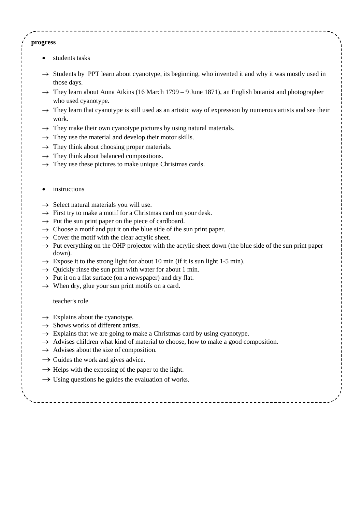#### **progress**

- students tasks
- $\rightarrow$  Students by PPT learn about cyanotype, its beginning, who invented it and why it was mostly used in those days.
- $\rightarrow$  They learn about Anna Atkins (16 March 1799 9 June 1871), an English botanist and photographer who used cyanotype.
- $\rightarrow$  They learn that cyanotype is still used as an artistic way of expression by numerous artists and see their work.
- $\rightarrow$  They make their own cyanotype pictures by using natural materials.
- $\rightarrow$  They use the material and develop their motor skills.
- $\rightarrow$  They think about choosing proper materials.
- $\rightarrow$  They think about balanced compositions.
- $\rightarrow$  They use these pictures to make unique Christmas cards.
- instructions
- $\rightarrow$  Select natural materials you will use.
- $\rightarrow$  First try to make a motif for a Christmas card on your desk.
- $\rightarrow$  Put the sun print paper on the piece of cardboard.
- $\rightarrow$  Choose a motif and put it on the blue side of the sun print paper.
- $\rightarrow$  Cover the motif with the clear acrylic sheet.
- $\rightarrow$  Put everything on the OHP projector with the acrylic sheet down (the blue side of the sun print paper down).
- $\rightarrow$  Expose it to the strong light for about 10 min (if it is sun light 1-5 min).
- $\rightarrow$  Ouickly rinse the sun print with water for about 1 min.
- $\rightarrow$  Put it on a flat surface (on a newspaper) and dry flat.
- $\rightarrow$  When dry, glue your sun print motifs on a card.

#### teacher's role

- $\rightarrow$  Explains about the cyanotype.
- $\rightarrow$  Shows works of different artists.
- $\rightarrow$  Explains that we are going to make a Christmas card by using cyanotype.
- $\rightarrow$  Advises children what kind of material to choose, how to make a good composition.
- $\rightarrow$  Advises about the size of composition.
- $\rightarrow$  Guides the work and gives advice.
- $\rightarrow$  Helps with the exposing of the paper to the light.
- $\rightarrow$  Using questions he guides the evaluation of works.